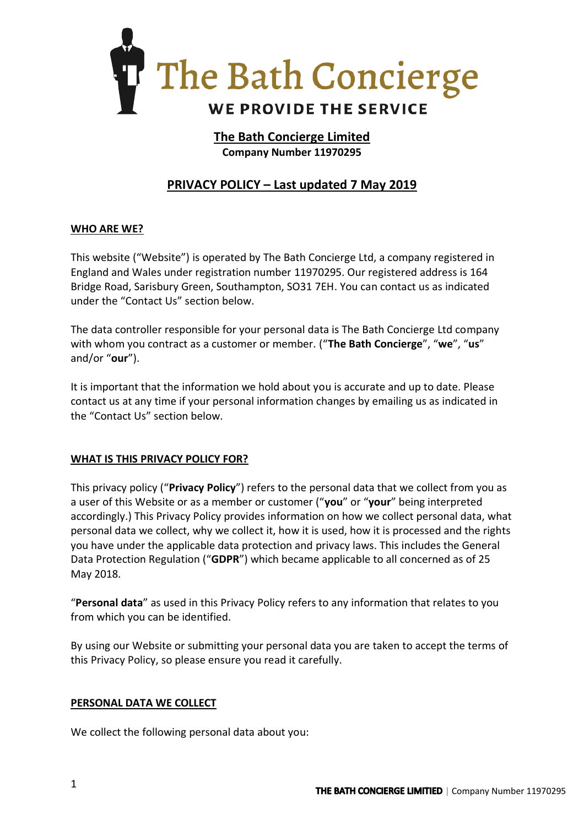

# **The Bath Concierge Limited Company Number 11970295**

# **PRIVACY POLICY – Last updated 7 May 2019**

## **WHO ARE WE?**

This website ("Website") is operated by The Bath Concierge Ltd, a company registered in England and Wales under registration number 11970295. Our registered address is 164 Bridge Road, Sarisbury Green, Southampton, SO31 7EH. You can contact us as indicated under the "Contact Us" section below.

The data controller responsible for your personal data is The Bath Concierge Ltd company with whom you contract as a customer or member. ("**The Bath Concierge**", "**we**", "**us**" and/or "**our**").

It is important that the information we hold about you is accurate and up to date. Please contact us at any time if your personal information changes by emailing us as indicated in the "Contact Us" section below.

## **WHAT IS THIS PRIVACY POLICY FOR?**

This privacy policy ("**Privacy Policy**") refers to the personal data that we collect from you as a user of this Website or as a member or customer ("**you**" or "**your**" being interpreted accordingly.) This Privacy Policy provides information on how we collect personal data, what personal data we collect, why we collect it, how it is used, how it is processed and the rights you have under the applicable data protection and privacy laws. This includes the General Data Protection Regulation ("**GDPR**") which became applicable to all concerned as of 25 May 2018.

"**Personal data**" as used in this Privacy Policy refers to any information that relates to you from which you can be identified.

By using our Website or submitting your personal data you are taken to accept the terms of this Privacy Policy, so please ensure you read it carefully.

## **PERSONAL DATA WE COLLECT**

We collect the following personal data about you: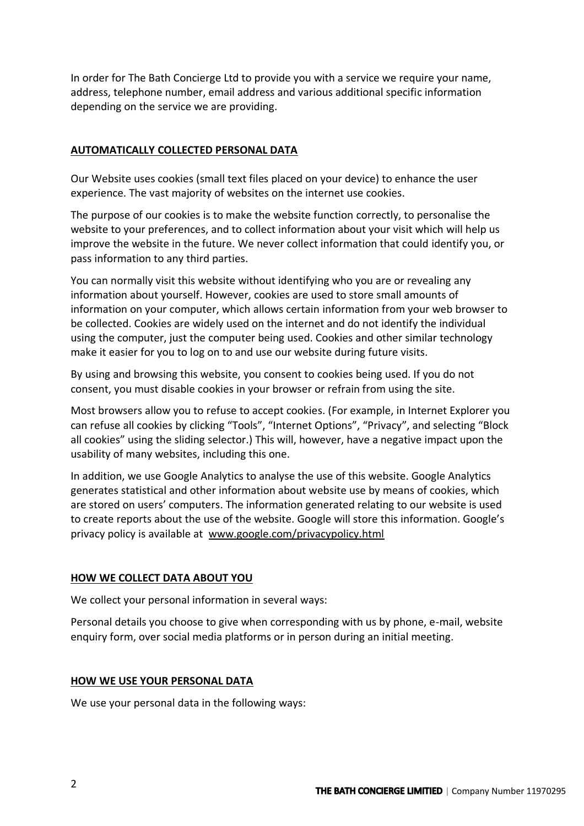In order for The Bath Concierge Ltd to provide you with a service we require your name, address, telephone number, email address and various additional specific information depending on the service we are providing.

## **AUTOMATICALLY COLLECTED PERSONAL DATA**

Our Website uses cookies (small text files placed on your device) to enhance the user experience. The vast majority of websites on the internet use cookies.

The purpose of our cookies is to make the website function correctly, to personalise the website to your preferences, and to collect information about your visit which will help us improve the website in the future. We never collect information that could identify you, or pass information to any third parties.

You can normally visit this website without identifying who you are or revealing any information about yourself. However, cookies are used to store small amounts of information on your computer, which allows certain information from your web browser to be collected. Cookies are widely used on the internet and do not identify the individual using the computer, just the computer being used. Cookies and other similar technology make it easier for you to log on to and use our website during future visits.

By using and browsing this website, you consent to cookies being used. If you do not consent, you must disable cookies in your browser or refrain from using the site.

Most browsers allow you to refuse to accept cookies. (For example, in Internet Explorer you can refuse all cookies by clicking "Tools", "Internet Options", "Privacy", and selecting "Block all cookies" using the sliding selector.) This will, however, have a negative impact upon the usability of many websites, including this one.

In addition, we use Google Analytics to analyse the use of this website. Google Analytics generates statistical and other information about website use by means of cookies, which are stored on users' computers. The information generated relating to our website is used to create reports about the use of the website. Google will store this information. Google's privacy policy is available at [www.google.com/privacypolicy.html](http://www.google.com/privacypolicy.html)

#### **HOW WE COLLECT DATA ABOUT YOU**

We collect your personal information in several ways:

Personal details you choose to give when corresponding with us by phone, e-mail, website enquiry form, over social media platforms or in person during an initial meeting.

#### **HOW WE USE YOUR PERSONAL DATA**

We use your personal data in the following ways: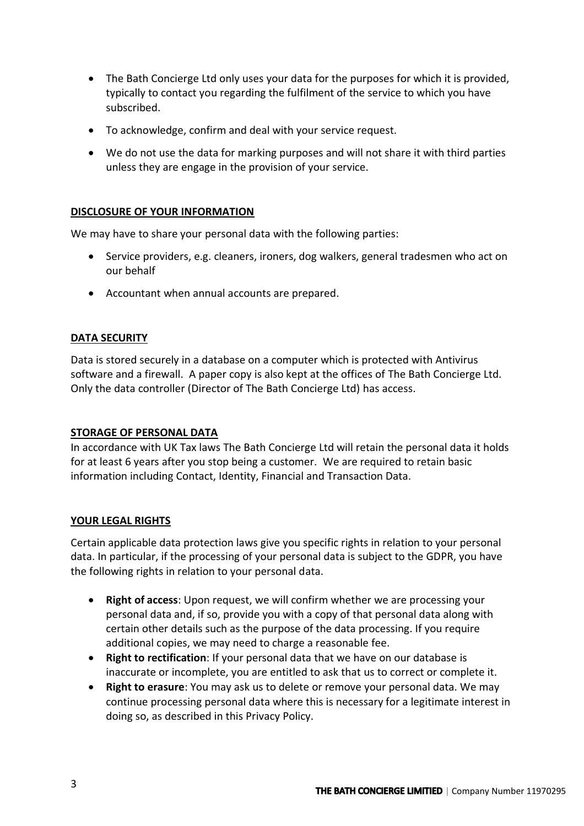- The Bath Concierge Ltd only uses your data for the purposes for which it is provided, typically to contact you regarding the fulfilment of the service to which you have subscribed.
- To acknowledge, confirm and deal with your service request.
- We do not use the data for marking purposes and will not share it with third parties unless they are engage in the provision of your service.

## **DISCLOSURE OF YOUR INFORMATION**

We may have to share your personal data with the following parties:

- Service providers, e.g. cleaners, ironers, dog walkers, general tradesmen who act on our behalf
- Accountant when annual accounts are prepared.

#### **DATA SECURITY**

Data is stored securely in a database on a computer which is protected with Antivirus software and a firewall. A paper copy is also kept at the offices of The Bath Concierge Ltd. Only the data controller (Director of The Bath Concierge Ltd) has access.

#### **STORAGE OF PERSONAL DATA**

In accordance with UK Tax laws The Bath Concierge Ltd will retain the personal data it holds for at least 6 years after you stop being a customer. We are required to retain basic information including Contact, Identity, Financial and Transaction Data.

#### **YOUR LEGAL RIGHTS**

Certain applicable data protection laws give you specific rights in relation to your personal data. In particular, if the processing of your personal data is subject to the GDPR, you have the following rights in relation to your personal data.

- **Right of access**: Upon request, we will confirm whether we are processing your personal data and, if so, provide you with a copy of that personal data along with certain other details such as the purpose of the data processing. If you require additional copies, we may need to charge a reasonable fee.
- **Right to rectification**: If your personal data that we have on our database is inaccurate or incomplete, you are entitled to ask that us to correct or complete it.
- **Right to erasure**: You may ask us to delete or remove your personal data. We may continue processing personal data where this is necessary for a legitimate interest in doing so, as described in this Privacy Policy.